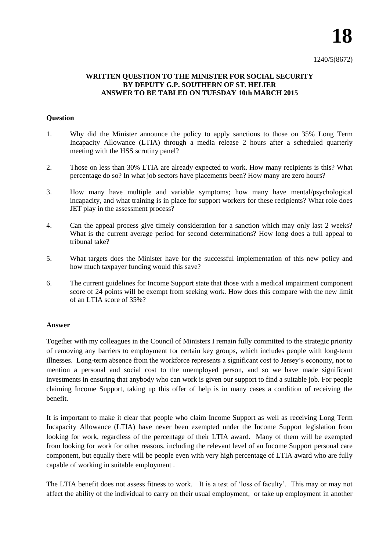## **WRITTEN QUESTION TO THE MINISTER FOR SOCIAL SECURITY BY DEPUTY G.P. SOUTHERN OF ST. HELIER ANSWER TO BE TABLED ON TUESDAY 10th MARCH 2015**

## **Question**

- 1. Why did the Minister announce the policy to apply sanctions to those on 35% Long Term Incapacity Allowance (LTIA) through a media release 2 hours after a scheduled quarterly meeting with the HSS scrutiny panel?
- 2. Those on less than 30% LTIA are already expected to work. How many recipients is this? What percentage do so? In what job sectors have placements been? How many are zero hours?
- 3. How many have multiple and variable symptoms; how many have mental/psychological incapacity, and what training is in place for support workers for these recipients? What role does JET play in the assessment process?
- 4. Can the appeal process give timely consideration for a sanction which may only last 2 weeks? What is the current average period for second determinations? How long does a full appeal to tribunal take?
- 5. What targets does the Minister have for the successful implementation of this new policy and how much taxpayer funding would this save?
- 6. The current guidelines for Income Support state that those with a medical impairment component score of 24 points will be exempt from seeking work. How does this compare with the new limit of an LTIA score of 35%?

## **Answer**

Together with my colleagues in the Council of Ministers I remain fully committed to the strategic priority of removing any barriers to employment for certain key groups, which includes people with long-term illnesses. Long-term absence from the workforce represents a significant cost to Jersey's economy, not to mention a personal and social cost to the unemployed person, and so we have made significant investments in ensuring that anybody who can work is given our support to find a suitable job. For people claiming Income Support, taking up this offer of help is in many cases a condition of receiving the benefit.

It is important to make it clear that people who claim Income Support as well as receiving Long Term Incapacity Allowance (LTIA) have never been exempted under the Income Support legislation from looking for work, regardless of the percentage of their LTIA award. Many of them will be exempted from looking for work for other reasons, including the relevant level of an Income Support personal care component, but equally there will be people even with very high percentage of LTIA award who are fully capable of working in suitable employment .

The LTIA benefit does not assess fitness to work. It is a test of 'loss of faculty'. This may or may not affect the ability of the individual to carry on their usual employment, or take up employment in another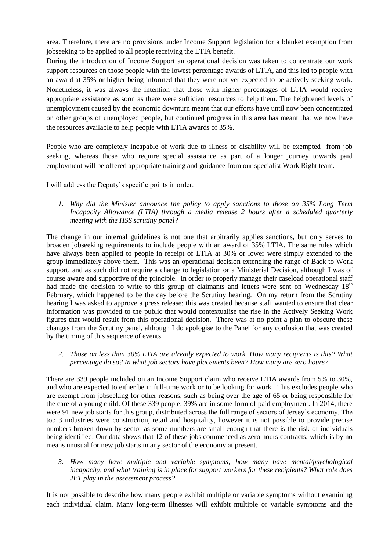area. Therefore, there are no provisions under Income Support legislation for a blanket exemption from jobseeking to be applied to all people receiving the LTIA benefit.

During the introduction of Income Support an operational decision was taken to concentrate our work support resources on those people with the lowest percentage awards of LTIA, and this led to people with an award at 35% or higher being informed that they were not yet expected to be actively seeking work. Nonetheless, it was always the intention that those with higher percentages of LTIA would receive appropriate assistance as soon as there were sufficient resources to help them. The heightened levels of unemployment caused by the economic downturn meant that our efforts have until now been concentrated on other groups of unemployed people, but continued progress in this area has meant that we now have the resources available to help people with LTIA awards of 35%.

People who are completely incapable of work due to illness or disability will be exempted from job seeking, whereas those who require special assistance as part of a longer journey towards paid employment will be offered appropriate training and guidance from our specialist Work Right team.

I will address the Deputy's specific points in order.

*1. Why did the Minister announce the policy to apply sanctions to those on 35% Long Term Incapacity Allowance (LTIA) through a media release 2 hours after a scheduled quarterly meeting with the HSS scrutiny panel?*

The change in our internal guidelines is not one that arbitrarily applies sanctions, but only serves to broaden jobseeking requirements to include people with an award of 35% LTIA. The same rules which have always been applied to people in receipt of LTIA at 30% or lower were simply extended to the group immediately above them. This was an operational decision extending the range of Back to Work support, and as such did not require a change to legislation or a Ministerial Decision, although I was of course aware and supportive of the principle. In order to properly manage their caseload operational staff had made the decision to write to this group of claimants and letters were sent on Wednesday 18<sup>th</sup> February, which happened to be the day before the Scrutiny hearing. On my return from the Scrutiny hearing I was asked to approve a press release; this was created because staff wanted to ensure that clear information was provided to the public that would contextualise the rise in the Actively Seeking Work figures that would result from this operational decision. There was at no point a plan to obscure these changes from the Scrutiny panel, although I do apologise to the Panel for any confusion that was created by the timing of this sequence of events.

*2. Those on less than 30% LTIA are already expected to work. How many recipients is this? What percentage do so? In what job sectors have placements been? How many are zero hours?*

There are 339 people included on an Income Support claim who receive LTIA awards from 5% to 30%, and who are expected to either be in full-time work or to be looking for work. This excludes people who are exempt from jobseeking for other reasons, such as being over the age of 65 or being responsible for the care of a young child. Of these 339 people, 39% are in some form of paid employment. In 2014, there were 91 new job starts for this group, distributed across the full range of sectors of Jersey's economy. The top 3 industries were construction, retail and hospitality, however it is not possible to provide precise numbers broken down by sector as some numbers are small enough that there is the risk of individuals being identified. Our data shows that 12 of these jobs commenced as zero hours contracts, which is by no means unusual for new job starts in any sector of the economy at present.

*3. How many have multiple and variable symptoms; how many have mental/psychological incapacity, and what training is in place for support workers for these recipients? What role does JET play in the assessment process?*

It is not possible to describe how many people exhibit multiple or variable symptoms without examining each individual claim. Many long-term illnesses will exhibit multiple or variable symptoms and the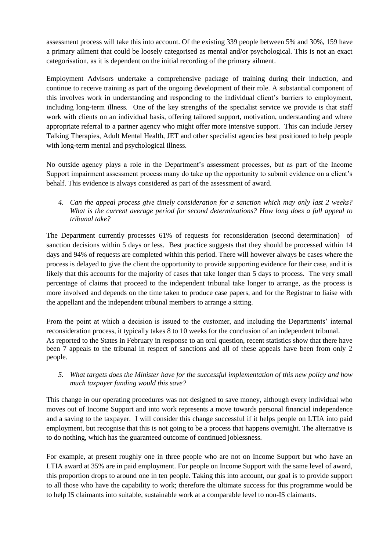assessment process will take this into account. Of the existing 339 people between 5% and 30%, 159 have a primary ailment that could be loosely categorised as mental and/or psychological. This is not an exact categorisation, as it is dependent on the initial recording of the primary ailment.

Employment Advisors undertake a comprehensive package of training during their induction, and continue to receive training as part of the ongoing development of their role. A substantial component of this involves work in understanding and responding to the individual client's barriers to employment, including long-term illness. One of the key strengths of the specialist service we provide is that staff work with clients on an individual basis, offering tailored support, motivation, understanding and where appropriate referral to a partner agency who might offer more intensive support. This can include Jersey Talking Therapies, Adult Mental Health, JET and other specialist agencies best positioned to help people with long-term mental and psychological illness.

No outside agency plays a role in the Department's assessment processes, but as part of the Income Support impairment assessment process many do take up the opportunity to submit evidence on a client's behalf. This evidence is always considered as part of the assessment of award.

*4. Can the appeal process give timely consideration for a sanction which may only last 2 weeks? What is the current average period for second determinations? How long does a full appeal to tribunal take?* 

The Department currently processes 61% of requests for reconsideration (second determination) of sanction decisions within 5 days or less. Best practice suggests that they should be processed within 14 days and 94% of requests are completed within this period. There will however always be cases where the process is delayed to give the client the opportunity to provide supporting evidence for their case, and it is likely that this accounts for the majority of cases that take longer than 5 days to process. The very small percentage of claims that proceed to the independent tribunal take longer to arrange, as the process is more involved and depends on the time taken to produce case papers, and for the Registrar to liaise with the appellant and the independent tribunal members to arrange a sitting.

From the point at which a decision is issued to the customer, and including the Departments' internal reconsideration process, it typically takes 8 to 10 weeks for the conclusion of an independent tribunal. As reported to the States in February in response to an oral question, recent statistics show that there have been 7 appeals to the tribunal in respect of sanctions and all of these appeals have been from only 2 people.

*5. What targets does the Minister have for the successful implementation of this new policy and how much taxpayer funding would this save?*

This change in our operating procedures was not designed to save money, although every individual who moves out of Income Support and into work represents a move towards personal financial independence and a saving to the taxpayer. I will consider this change successful if it helps people on LTIA into paid employment, but recognise that this is not going to be a process that happens overnight. The alternative is to do nothing, which has the guaranteed outcome of continued joblessness.

For example, at present roughly one in three people who are not on Income Support but who have an LTIA award at 35% are in paid employment. For people on Income Support with the same level of award, this proportion drops to around one in ten people. Taking this into account, our goal is to provide support to all those who have the capability to work; therefore the ultimate success for this programme would be to help IS claimants into suitable, sustainable work at a comparable level to non-IS claimants.